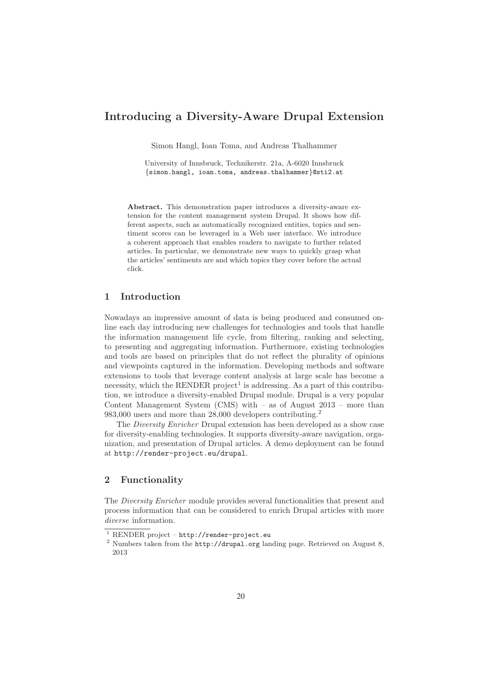# **Introducing a Diversity-Aware Drupal Extension**

Simon Hangl, Ioan Toma, and Andreas Thalhammer

University of Innsbruck, Technikerstr. 21a, A-6020 Innsbruck {simon.hangl, ioan.toma, andreas.thalhammer}@sti2.at

**Abstract.** This demonstration paper introduces a diversity-aware extension for the content management system Drupal. It shows how different aspects, such as automatically recognized entities, topics and sentiment scores can be leveraged in a Web user interface. We introduce a coherent approach that enables readers to navigate to further related articles. In particular, we demonstrate new ways to quickly grasp what the articles' sentiments are and which topics they cover before the actual click.

# **1 Introduction**

Nowadays an impressive amount of data is being produced and consumed online each day introducing new challenges for technologies and tools that handle the information management life cycle, from filtering, ranking and selecting, to presenting and aggregating information. Furthermore, existing technologies and tools are based on principles that do not reflect the plurality of opinions and viewpoints captured in the information. Developing methods and software extensions to tools that leverage content analysis at large scale has become a necessity, which the RENDER project<sup>1</sup> is addressing. As a part of this contribution, we introduce a diversity-enabled Drupal module. Drupal is a very popular Content Management System (CMS) with  $-$  as of August 2013  $-$  more than 983,000 users and more than 28,000 developers contributing.<sup>2</sup>

The Diversity Enricher Drupal extension has been developed as a show case for diversity-enabling technologies. It supports diversity-aware navigation, organization, and presentation of Drupal articles. A demo deployment can be found at http://render-project.eu/drupal.

## **2 Functionality**

The Diversity Enricher module provides several functionalities that present and process information that can be considered to enrich Drupal articles with more diverse information.

 $1$  RENDER project – http://render-project.eu

<sup>2</sup> Numbers taken from the http://drupal.org landing page. Retrieved on August 8, 2013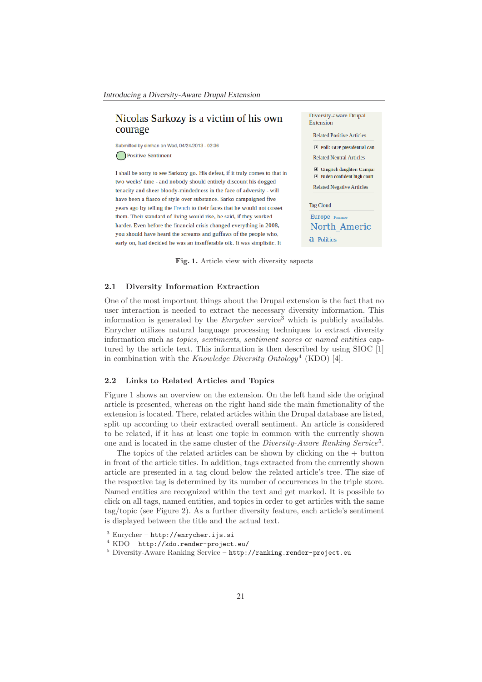# Nicolas Sarkozy is a victim of his own courage

Submitted by simhan on Wed, 04/24/2013 - 02:36 Positive Sentiment

I shall be sorry to see Sarkozy go. His defeat, if it truly comes to that in two weeks' time - and nobody should entirely discount his dogged tenacity and sheer bloody-mindedness in the face of adversity - will have been a fiasco of style over substance. Sarko campaigned five years ago by telling the French to their faces that he would not cosset them. Their standard of living would rise, he said, if they worked harder. Even before the financial crisis changed everything in 2008, you should have heard the screams and guffaws of the people who, early on, had decided he was an insufferable oik. It was simplistic. It



**Fig. 1.** Article view with diversity aspects

#### **2.1 Diversity Information Extraction**

One of the most important things about the Drupal extension is the fact that no user interaction is needed to extract the necessary diversity information. This information is generated by the  $Enrycher$  service<sup>3</sup> which is publicly available. Enrycher utilizes natural language processing techniques to extract diversity information such as topics, sentiments, sentiment scores or named entities captured by the article text. This information is then described by using SIOC [1] in combination with the Knowledge Diversity Ontology<sup>4</sup> (KDO) [4].

#### **2.2 Links to Related Articles and Topics**

Figure 1 shows an overview on the extension. On the left hand side the original article is presented, whereas on the right hand side the main functionality of the extension is located. There, related articles within the Drupal database are listed, split up according to their extracted overall sentiment. An article is considered to be related, if it has at least one topic in common with the currently shown one and is located in the same cluster of the Diversity-Aware Ranking Service5.

The topics of the related articles can be shown by clicking on the  $+$  button in front of the article titles. In addition, tags extracted from the currently shown article are presented in a tag cloud below the related article's tree. The size of the respective tag is determined by its number of occurrences in the triple store. Named entities are recognized within the text and get marked. It is possible to click on all tags, named entities, and topics in order to get articles with the same tag/topic (see Figure 2). As a further diversity feature, each article's sentiment is displayed between the title and the actual text.

 $3$  Enrycher – http://enrycher.ijs.si

<sup>4</sup> KDO – http://kdo.render-project.eu/

<sup>5</sup> Diversity-Aware Ranking Service – http://ranking.render-project.eu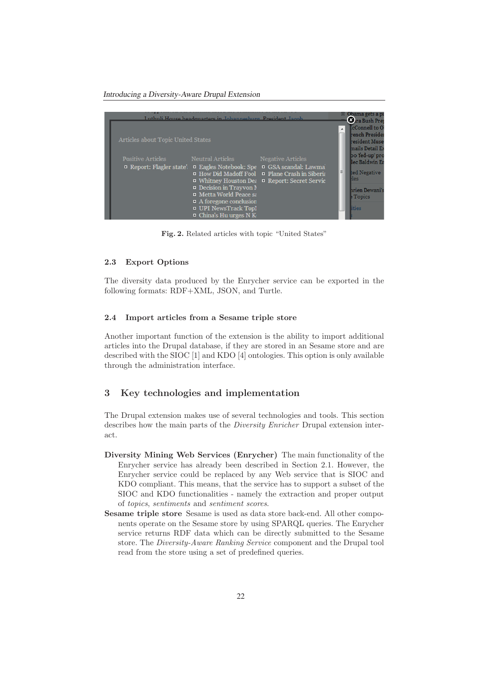*Introducing a Diversity-Aware Drupal Extension*



**Fig. 2.** Related articles with topic "United States"

### **2.3 Export Options**

The diversity data produced by the Enrycher service can be exported in the following formats: RDF+XML, JSON, and Turtle.

#### **2.4 Import articles from a Sesame triple store**

Another important function of the extension is the ability to import additional articles into the Drupal database, if they are stored in an Sesame store and are described with the SIOC [1] and KDO [4] ontologies. This option is only available through the administration interface.

## **3 Key technologies and implementation**

The Drupal extension makes use of several technologies and tools. This section describes how the main parts of the Diversity Enricher Drupal extension interact.

- **Diversity Mining Web Services (Enrycher)** The main functionality of the Enrycher service has already been described in Section 2.1. However, the Enrycher service could be replaced by any Web service that is SIOC and KDO compliant. This means, that the service has to support a subset of the SIOC and KDO functionalities - namely the extraction and proper output of topics, sentiments and sentiment scores.
- **Sesame triple store** Sesame is used as data store back-end. All other components operate on the Sesame store by using SPARQL queries. The Enrycher service returns RDF data which can be directly submitted to the Sesame store. The Diversity-Aware Ranking Service component and the Drupal tool read from the store using a set of predefined queries.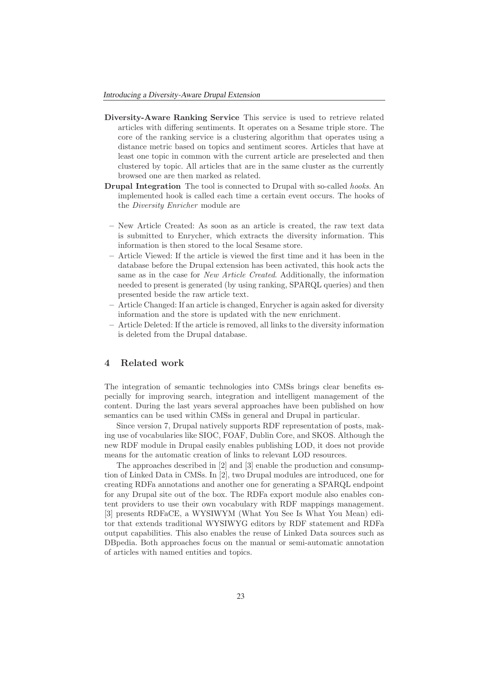- **Diversity-Aware Ranking Service** This service is used to retrieve related articles with differing sentiments. It operates on a Sesame triple store. The core of the ranking service is a clustering algorithm that operates using a distance metric based on topics and sentiment scores. Articles that have at least one topic in common with the current article are preselected and then clustered by topic. All articles that are in the same cluster as the currently browsed one are then marked as related.
- **Drupal Integration** The tool is connected to Drupal with so-called *hooks*. An implemented hook is called each time a certain event occurs. The hooks of the Diversity Enricher module are
	- **–** New Article Created: As soon as an article is created, the raw text data is submitted to Enrycher, which extracts the diversity information. This information is then stored to the local Sesame store.
- **–** Article Viewed: If the article is viewed the first time and it has been in the database before the Drupal extension has been activated, this hook acts the same as in the case for New Article Created. Additionally, the information needed to present is generated (by using ranking, SPARQL queries) and then presented beside the raw article text.
- **–** Article Changed: If an article is changed, Enrycher is again asked for diversity information and the store is updated with the new enrichment.
- **–** Article Deleted: If the article is removed, all links to the diversity information is deleted from the Drupal database.

#### **4 Related work**

The integration of semantic technologies into CMSs brings clear benefits especially for improving search, integration and intelligent management of the content. During the last years several approaches have been published on how semantics can be used within CMSs in general and Drupal in particular.

Since version 7, Drupal natively supports RDF representation of posts, making use of vocabularies like SIOC, FOAF, Dublin Core, and SKOS. Although the new RDF module in Drupal easily enables publishing LOD, it does not provide means for the automatic creation of links to relevant LOD resources.

The approaches described in [2] and [3] enable the production and consumption of Linked Data in CMSs. In [2], two Drupal modules are introduced, one for creating RDFa annotations and another one for generating a SPARQL endpoint for any Drupal site out of the box. The RDFa export module also enables content providers to use their own vocabulary with RDF mappings management. [3] presents RDFaCE, a WYSIWYM (What You See Is What You Mean) editor that extends traditional WYSIWYG editors by RDF statement and RDFa output capabilities. This also enables the reuse of Linked Data sources such as DBpedia. Both approaches focus on the manual or semi-automatic annotation of articles with named entities and topics.